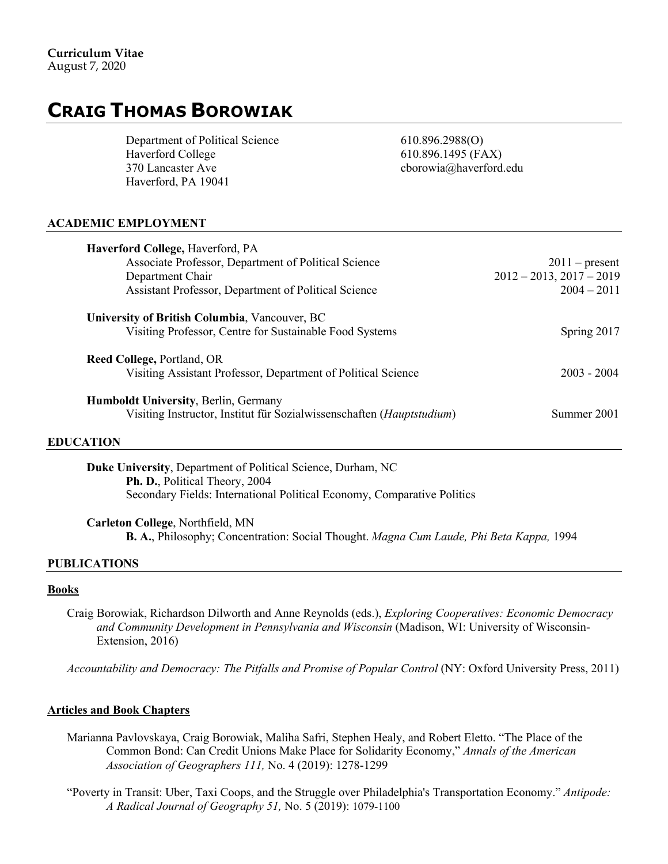# **CRAIG THOMAS BOROWIAK**

Department of Political Science 610.896.2988(O) Haverford College 610.896.1495 (FAX) 370 Lancaster Ave cborowia@haverford.edu Haverford, PA 19041

# **ACADEMIC EMPLOYMENT**

| <b>Haverford College, Haverford, PA</b><br>Associate Professor, Department of Political Science<br>Department Chair<br>Assistant Professor, Department of Political Science | $2011$ – present<br>$2012 - 2013$ , $2017 - 2019$<br>$2004 - 2011$ |
|-----------------------------------------------------------------------------------------------------------------------------------------------------------------------------|--------------------------------------------------------------------|
| University of British Columbia, Vancouver, BC<br>Visiting Professor, Centre for Sustainable Food Systems                                                                    | Spring 2017                                                        |
| Reed College, Portland, OR<br>Visiting Assistant Professor, Department of Political Science                                                                                 | $2003 - 2004$                                                      |
| Humboldt University, Berlin, Germany<br>Visiting Instructor, Institut für Sozialwissenschaften (Hauptstudium)                                                               | Summer 2001                                                        |

#### **EDUCATION**

**Duke University**, Department of Political Science, Durham, NC **Ph. D.**, Political Theory, 2004 Secondary Fields: International Political Economy, Comparative Politics

**Carleton College**, Northfield, MN **B. A.**, Philosophy; Concentration: Social Thought. *Magna Cum Laude, Phi Beta Kappa,* 1994

# **PUBLICATIONS**

#### **Books**

Craig Borowiak, Richardson Dilworth and Anne Reynolds (eds.), *Exploring Cooperatives: Economic Democracy and Community Development in Pennsylvania and Wisconsin* (Madison, WI: University of Wisconsin-Extension, 2016)

*Accountability and Democracy: The Pitfalls and Promise of Popular Control* (NY: Oxford University Press, 2011)

# **Articles and Book Chapters**

- Marianna Pavlovskaya, Craig Borowiak, Maliha Safri, Stephen Healy, and Robert Eletto. "The Place of the Common Bond: Can Credit Unions Make Place for Solidarity Economy," *Annals of the American Association of Geographers 111,* No. 4 (2019): 1278-1299
- "Poverty in Transit: Uber, Taxi Coops, and the Struggle over Philadelphia's Transportation Economy." *Antipode: A Radical Journal of Geography 51,* No. 5 (2019): 1079-1100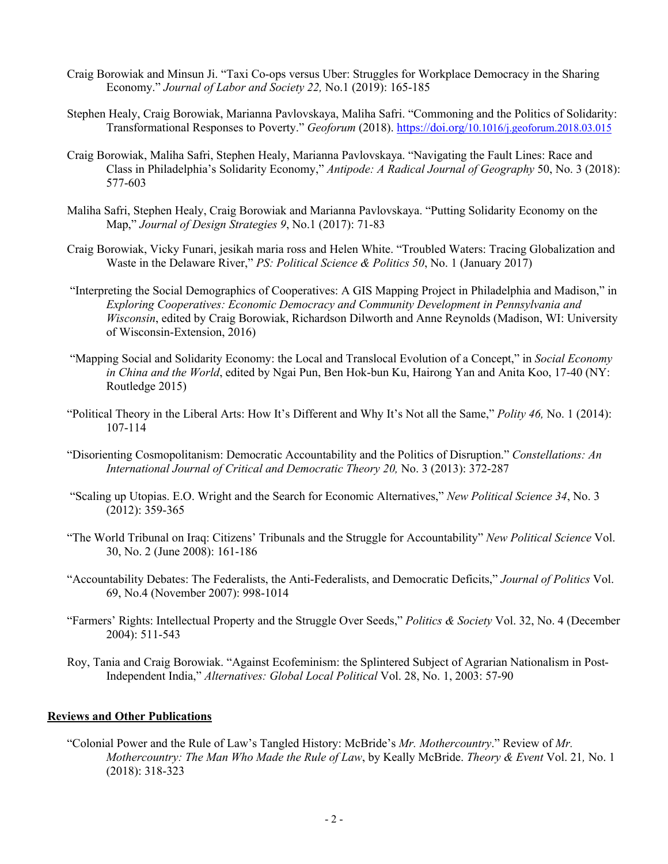- Craig Borowiak and Minsun Ji. "Taxi Co-ops versus Uber: Struggles for Workplace Democracy in the Sharing Economy." *Journal of Labor and Society 22,* No.1 (2019): 165-185
- Stephen Healy, Craig Borowiak, Marianna Pavlovskaya, Maliha Safri. "Commoning and the Politics of Solidarity: Transformational Responses to Poverty." *Geoforum* (2018). https://doi.org/10.1016/j.geoforum.2018.03.015
- Craig Borowiak, Maliha Safri, Stephen Healy, Marianna Pavlovskaya. "Navigating the Fault Lines: Race and Class in Philadelphia's Solidarity Economy," *Antipode: A Radical Journal of Geography* 50, No. 3 (2018): 577-603
- Maliha Safri, Stephen Healy, Craig Borowiak and Marianna Pavlovskaya. "Putting Solidarity Economy on the Map," *Journal of Design Strategies 9*, No.1 (2017): 71-83
- Craig Borowiak, Vicky Funari, jesikah maria ross and Helen White. "Troubled Waters: Tracing Globalization and Waste in the Delaware River," *PS: Political Science & Politics 50*, No. 1 (January 2017)
- "Interpreting the Social Demographics of Cooperatives: A GIS Mapping Project in Philadelphia and Madison," in *Exploring Cooperatives: Economic Democracy and Community Development in Pennsylvania and Wisconsin*, edited by Craig Borowiak, Richardson Dilworth and Anne Reynolds (Madison, WI: University of Wisconsin-Extension, 2016)
- "Mapping Social and Solidarity Economy: the Local and Translocal Evolution of a Concept," in *Social Economy in China and the World*, edited by Ngai Pun, Ben Hok-bun Ku, Hairong Yan and Anita Koo, 17-40 (NY: Routledge 2015)
- "Political Theory in the Liberal Arts: How It's Different and Why It's Not all the Same," *Polity 46,* No. 1 (2014): 107-114
- "Disorienting Cosmopolitanism: Democratic Accountability and the Politics of Disruption." *Constellations: An International Journal of Critical and Democratic Theory 20,* No. 3 (2013): 372-287
- "Scaling up Utopias. E.O. Wright and the Search for Economic Alternatives," *New Political Science 34*, No. 3 (2012): 359-365
- "The World Tribunal on Iraq: Citizens' Tribunals and the Struggle for Accountability" *New Political Science* Vol. 30, No. 2 (June 2008): 161-186
- "Accountability Debates: The Federalists, the Anti-Federalists, and Democratic Deficits," *Journal of Politics* Vol. 69, No.4 (November 2007): 998-1014
- "Farmers' Rights: Intellectual Property and the Struggle Over Seeds," *Politics & Society* Vol. 32, No. 4 (December 2004): 511-543
- Roy, Tania and Craig Borowiak. "Against Ecofeminism: the Splintered Subject of Agrarian Nationalism in Post-Independent India," *Alternatives: Global Local Political* Vol. 28, No. 1, 2003: 57-90

# **Reviews and Other Publications**

"Colonial Power and the Rule of Law's Tangled History: McBride's *Mr. Mothercountry*." Review of *Mr. Mothercountry: The Man Who Made the Rule of Law*, by Keally McBride. *Theory & Event* Vol. 21*,* No. 1 (2018): 318-323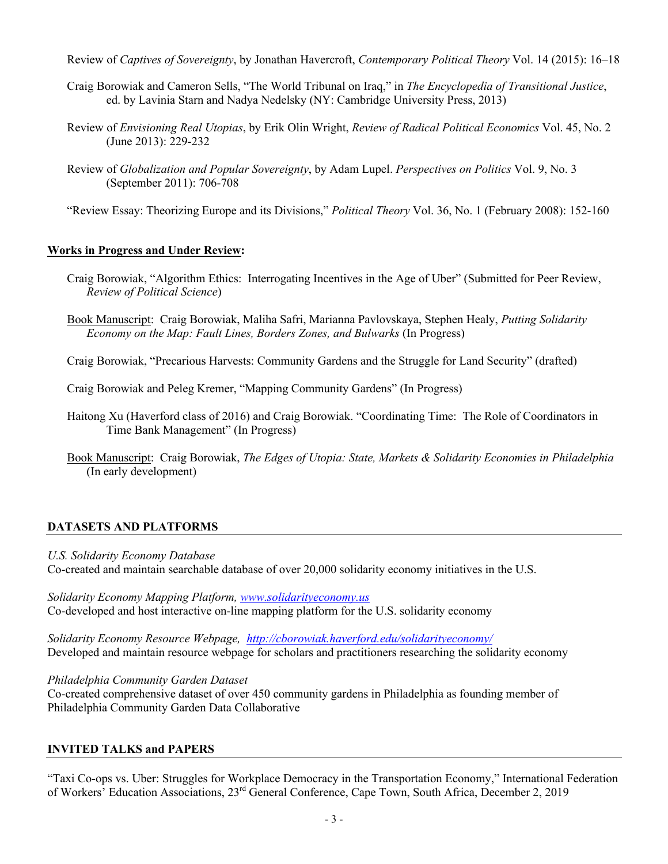Review of *Captives of Sovereignty*, by Jonathan Havercroft, *Contemporary Political Theory* Vol. 14 (2015): 16–18

- Craig Borowiak and Cameron Sells, "The World Tribunal on Iraq," in *The Encyclopedia of Transitional Justice*, ed. by Lavinia Starn and Nadya Nedelsky (NY: Cambridge University Press, 2013)
- Review of *Envisioning Real Utopias*, by Erik Olin Wright, *Review of Radical Political Economics* Vol. 45, No. 2 (June 2013): 229-232
- Review of *Globalization and Popular Sovereignty*, by Adam Lupel. *Perspectives on Politics* Vol. 9, No. 3 (September 2011): 706-708

"Review Essay: Theorizing Europe and its Divisions," *Political Theory* Vol. 36, No. 1 (February 2008): 152-160

# **Works in Progress and Under Review:**

- Craig Borowiak, "Algorithm Ethics: Interrogating Incentives in the Age of Uber" (Submitted for Peer Review, *Review of Political Science*)
- Book Manuscript: Craig Borowiak, Maliha Safri, Marianna Pavlovskaya, Stephen Healy, *Putting Solidarity Economy on the Map: Fault Lines, Borders Zones, and Bulwarks* (In Progress)

Craig Borowiak, "Precarious Harvests: Community Gardens and the Struggle for Land Security" (drafted)

Craig Borowiak and Peleg Kremer, "Mapping Community Gardens" (In Progress)

- Haitong Xu (Haverford class of 2016) and Craig Borowiak. "Coordinating Time: The Role of Coordinators in Time Bank Management" (In Progress)
- Book Manuscript: Craig Borowiak, *The Edges of Utopia: State, Markets & Solidarity Economies in Philadelphia*  (In early development)

# **DATASETS AND PLATFORMS**

# *U.S. Solidarity Economy Database*

Co-created and maintain searchable database of over 20,000 solidarity economy initiatives in the U.S.

*Solidarity Economy Mapping Platform, www.solidarityeconomy.us* Co-developed and host interactive on-line mapping platform for the U.S. solidarity economy

*Solidarity Economy Resource Webpage, http://cborowiak.haverford.edu/solidarityeconomy/* Developed and maintain resource webpage for scholars and practitioners researching the solidarity economy

# *Philadelphia Community Garden Dataset*

Co-created comprehensive dataset of over 450 community gardens in Philadelphia as founding member of Philadelphia Community Garden Data Collaborative

# **INVITED TALKS and PAPERS**

"Taxi Co-ops vs. Uber: Struggles for Workplace Democracy in the Transportation Economy," International Federation of Workers' Education Associations, 23rd General Conference, Cape Town, South Africa, December 2, 2019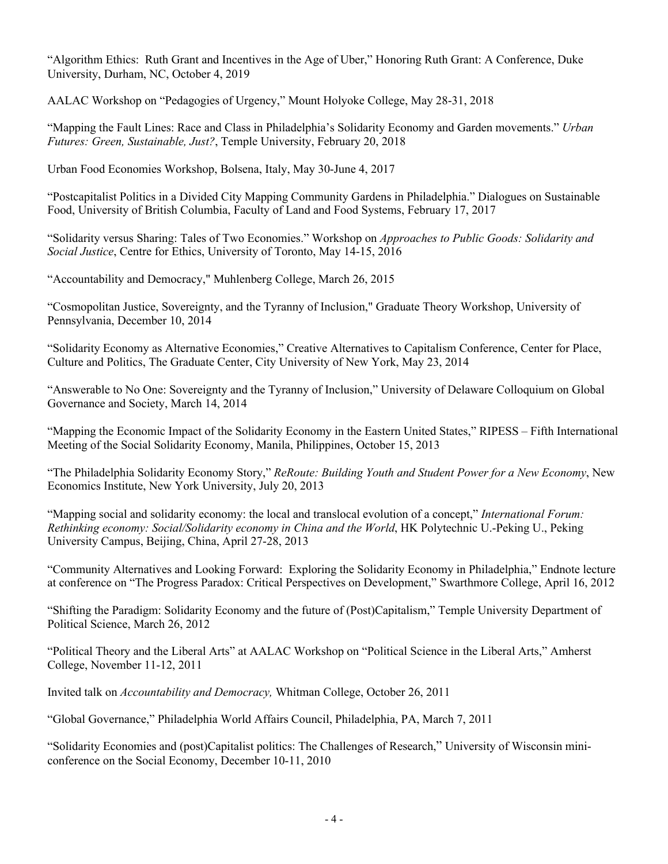"Algorithm Ethics: Ruth Grant and Incentives in the Age of Uber," Honoring Ruth Grant: A Conference, Duke University, Durham, NC, October 4, 2019

AALAC Workshop on "Pedagogies of Urgency," Mount Holyoke College, May 28-31, 2018

"Mapping the Fault Lines: Race and Class in Philadelphia's Solidarity Economy and Garden movements." *Urban Futures: Green, Sustainable, Just?*, Temple University, February 20, 2018

Urban Food Economies Workshop, Bolsena, Italy, May 30-June 4, 2017

"Postcapitalist Politics in a Divided City Mapping Community Gardens in Philadelphia." Dialogues on Sustainable Food, University of British Columbia, Faculty of Land and Food Systems, February 17, 2017

"Solidarity versus Sharing: Tales of Two Economies." Workshop on *Approaches to Public Goods: Solidarity and Social Justice*, Centre for Ethics, University of Toronto, May 14-15, 2016

"Accountability and Democracy," Muhlenberg College, March 26, 2015

"Cosmopolitan Justice, Sovereignty, and the Tyranny of Inclusion," Graduate Theory Workshop, University of Pennsylvania, December 10, 2014

"Solidarity Economy as Alternative Economies," Creative Alternatives to Capitalism Conference, Center for Place, Culture and Politics, The Graduate Center, City University of New York, May 23, 2014

"Answerable to No One: Sovereignty and the Tyranny of Inclusion," University of Delaware Colloquium on Global Governance and Society, March 14, 2014

"Mapping the Economic Impact of the Solidarity Economy in the Eastern United States," RIPESS – Fifth International Meeting of the Social Solidarity Economy, Manila, Philippines, October 15, 2013

"The Philadelphia Solidarity Economy Story," *ReRoute: Building Youth and Student Power for a New Economy*, New Economics Institute, New York University, July 20, 2013

"Mapping social and solidarity economy: the local and translocal evolution of a concept," *International Forum: Rethinking economy: Social/Solidarity economy in China and the World*, HK Polytechnic U.-Peking U., Peking University Campus, Beijing, China, April 27-28, 2013

"Community Alternatives and Looking Forward: Exploring the Solidarity Economy in Philadelphia," Endnote lecture at conference on "The Progress Paradox: Critical Perspectives on Development," Swarthmore College, April 16, 2012

"Shifting the Paradigm: Solidarity Economy and the future of (Post)Capitalism," Temple University Department of Political Science, March 26, 2012

"Political Theory and the Liberal Arts" at AALAC Workshop on "Political Science in the Liberal Arts," Amherst College, November 11-12, 2011

Invited talk on *Accountability and Democracy,* Whitman College, October 26, 2011

"Global Governance," Philadelphia World Affairs Council, Philadelphia, PA, March 7, 2011

"Solidarity Economies and (post)Capitalist politics: The Challenges of Research," University of Wisconsin miniconference on the Social Economy, December 10-11, 2010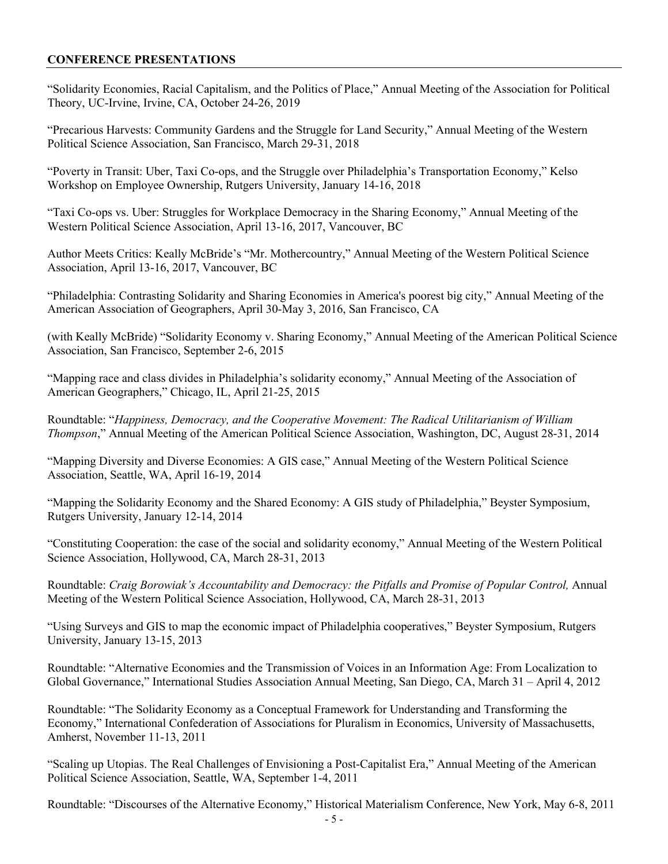# **CONFERENCE PRESENTATIONS**

"Solidarity Economies, Racial Capitalism, and the Politics of Place," Annual Meeting of the Association for Political Theory, UC-Irvine, Irvine, CA, October 24-26, 2019

"Precarious Harvests: Community Gardens and the Struggle for Land Security," Annual Meeting of the Western Political Science Association, San Francisco, March 29-31, 2018

"Poverty in Transit: Uber, Taxi Co-ops, and the Struggle over Philadelphia's Transportation Economy," Kelso Workshop on Employee Ownership, Rutgers University, January 14-16, 2018

"Taxi Co-ops vs. Uber: Struggles for Workplace Democracy in the Sharing Economy," Annual Meeting of the Western Political Science Association, April 13-16, 2017, Vancouver, BC

Author Meets Critics: Keally McBride's "Mr. Mothercountry," Annual Meeting of the Western Political Science Association, April 13-16, 2017, Vancouver, BC

"Philadelphia: Contrasting Solidarity and Sharing Economies in America's poorest big city," Annual Meeting of the American Association of Geographers, April 30-May 3, 2016, San Francisco, CA

(with Keally McBride) "Solidarity Economy v. Sharing Economy," Annual Meeting of the American Political Science Association, San Francisco, September 2-6, 2015

"Mapping race and class divides in Philadelphia's solidarity economy," Annual Meeting of the Association of American Geographers," Chicago, IL, April 21-25, 2015

Roundtable: "*Happiness, Democracy, and the Cooperative Movement: The Radical Utilitarianism of William Thompson*," Annual Meeting of the American Political Science Association, Washington, DC, August 28-31, 2014

"Mapping Diversity and Diverse Economies: A GIS case," Annual Meeting of the Western Political Science Association, Seattle, WA, April 16-19, 2014

"Mapping the Solidarity Economy and the Shared Economy: A GIS study of Philadelphia," Beyster Symposium, Rutgers University, January 12-14, 2014

"Constituting Cooperation: the case of the social and solidarity economy," Annual Meeting of the Western Political Science Association, Hollywood, CA, March 28-31, 2013

Roundtable: *Craig Borowiak's Accountability and Democracy: the Pitfalls and Promise of Popular Control,* Annual Meeting of the Western Political Science Association, Hollywood, CA, March 28-31, 2013

"Using Surveys and GIS to map the economic impact of Philadelphia cooperatives," Beyster Symposium, Rutgers University, January 13-15, 2013

Roundtable: "Alternative Economies and the Transmission of Voices in an Information Age: From Localization to Global Governance," International Studies Association Annual Meeting, San Diego, CA, March 31 – April 4, 2012

Roundtable: "The Solidarity Economy as a Conceptual Framework for Understanding and Transforming the Economy," International Confederation of Associations for Pluralism in Economics, University of Massachusetts, Amherst, November 11-13, 2011

"Scaling up Utopias. The Real Challenges of Envisioning a Post-Capitalist Era," Annual Meeting of the American Political Science Association, Seattle, WA, September 1-4, 2011

Roundtable: "Discourses of the Alternative Economy," Historical Materialism Conference, New York, May 6-8, 2011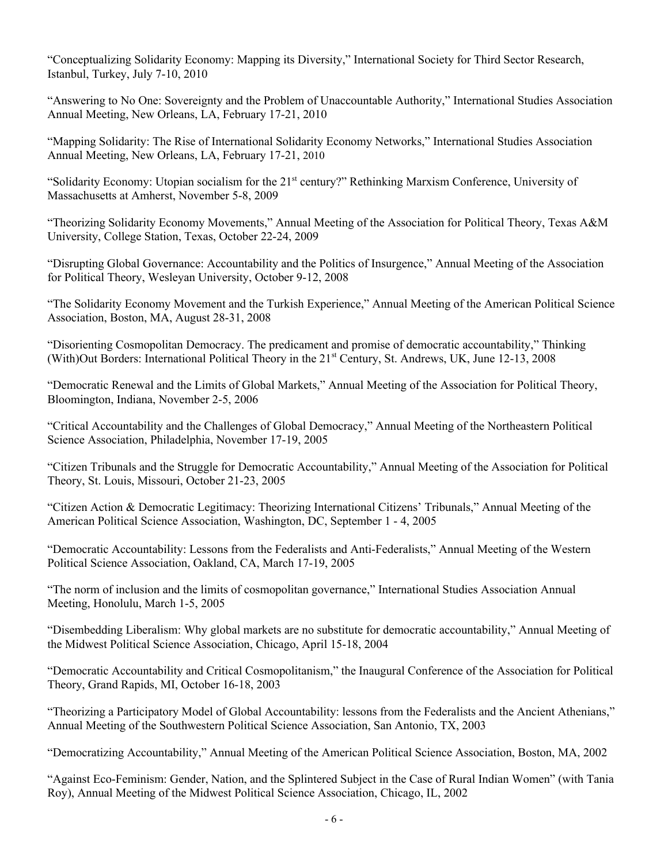"Conceptualizing Solidarity Economy: Mapping its Diversity," International Society for Third Sector Research, Istanbul, Turkey, July 7-10, 2010

"Answering to No One: Sovereignty and the Problem of Unaccountable Authority," International Studies Association Annual Meeting, New Orleans, LA, February 17-21, 2010

"Mapping Solidarity: The Rise of International Solidarity Economy Networks," International Studies Association Annual Meeting, New Orleans, LA, February 17-21, 2010

"Solidarity Economy: Utopian socialism for the  $21<sup>st</sup>$  century?" Rethinking Marxism Conference, University of Massachusetts at Amherst, November 5-8, 2009

"Theorizing Solidarity Economy Movements," Annual Meeting of the Association for Political Theory, Texas A&M University, College Station, Texas, October 22-24, 2009

"Disrupting Global Governance: Accountability and the Politics of Insurgence," Annual Meeting of the Association for Political Theory, Wesleyan University, October 9-12, 2008

"The Solidarity Economy Movement and the Turkish Experience," Annual Meeting of the American Political Science Association, Boston, MA, August 28-31, 2008

"Disorienting Cosmopolitan Democracy. The predicament and promise of democratic accountability," Thinking (With)Out Borders: International Political Theory in the 21<sup>st</sup> Century, St. Andrews, UK, June 12-13, 2008

"Democratic Renewal and the Limits of Global Markets," Annual Meeting of the Association for Political Theory, Bloomington, Indiana, November 2-5, 2006

"Critical Accountability and the Challenges of Global Democracy," Annual Meeting of the Northeastern Political Science Association, Philadelphia, November 17-19, 2005

"Citizen Tribunals and the Struggle for Democratic Accountability," Annual Meeting of the Association for Political Theory, St. Louis, Missouri, October 21-23, 2005

"Citizen Action & Democratic Legitimacy: Theorizing International Citizens' Tribunals," Annual Meeting of the American Political Science Association, Washington, DC, September 1 - 4, 2005

"Democratic Accountability: Lessons from the Federalists and Anti-Federalists," Annual Meeting of the Western Political Science Association, Oakland, CA, March 17-19, 2005

"The norm of inclusion and the limits of cosmopolitan governance," International Studies Association Annual Meeting, Honolulu, March 1-5, 2005

"Disembedding Liberalism: Why global markets are no substitute for democratic accountability," Annual Meeting of the Midwest Political Science Association, Chicago, April 15-18, 2004

"Democratic Accountability and Critical Cosmopolitanism," the Inaugural Conference of the Association for Political Theory, Grand Rapids, MI, October 16-18, 2003

"Theorizing a Participatory Model of Global Accountability: lessons from the Federalists and the Ancient Athenians," Annual Meeting of the Southwestern Political Science Association, San Antonio, TX, 2003

"Democratizing Accountability," Annual Meeting of the American Political Science Association, Boston, MA, 2002

"Against Eco-Feminism: Gender, Nation, and the Splintered Subject in the Case of Rural Indian Women" (with Tania Roy), Annual Meeting of the Midwest Political Science Association, Chicago, IL, 2002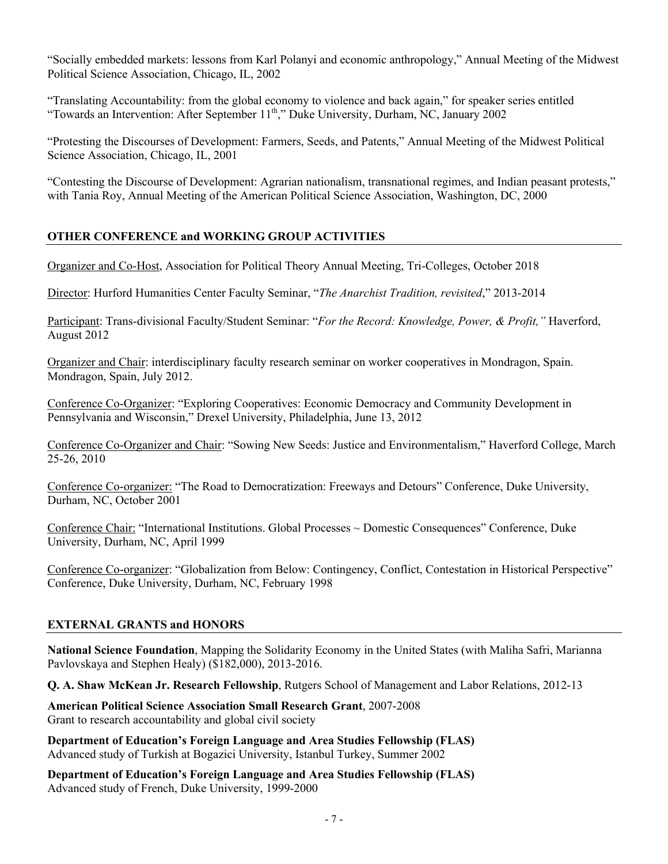"Socially embedded markets: lessons from Karl Polanyi and economic anthropology," Annual Meeting of the Midwest Political Science Association, Chicago, IL, 2002

"Translating Accountability: from the global economy to violence and back again," for speaker series entitled "Towards an Intervention: After September  $11<sup>th</sup>$ ," Duke University, Durham, NC, January 2002

"Protesting the Discourses of Development: Farmers, Seeds, and Patents," Annual Meeting of the Midwest Political Science Association, Chicago, IL, 2001

"Contesting the Discourse of Development: Agrarian nationalism, transnational regimes, and Indian peasant protests," with Tania Roy, Annual Meeting of the American Political Science Association, Washington, DC, 2000

# **OTHER CONFERENCE and WORKING GROUP ACTIVITIES**

Organizer and Co-Host, Association for Political Theory Annual Meeting, Tri-Colleges, October 2018

Director: Hurford Humanities Center Faculty Seminar, "*The Anarchist Tradition, revisited*," 2013-2014

Participant: Trans-divisional Faculty/Student Seminar: "*For the Record: Knowledge, Power, & Profit,"* Haverford, August 2012

Organizer and Chair: interdisciplinary faculty research seminar on worker cooperatives in Mondragon, Spain. Mondragon, Spain, July 2012.

Conference Co-Organizer: "Exploring Cooperatives: Economic Democracy and Community Development in Pennsylvania and Wisconsin," Drexel University, Philadelphia, June 13, 2012

Conference Co-Organizer and Chair: "Sowing New Seeds: Justice and Environmentalism," Haverford College, March 25-26, 2010

Conference Co-organizer: "The Road to Democratization: Freeways and Detours" Conference, Duke University, Durham, NC, October 2001

Conference Chair: "International Institutions. Global Processes ~ Domestic Consequences" Conference, Duke University, Durham, NC, April 1999

Conference Co-organizer: "Globalization from Below: Contingency, Conflict, Contestation in Historical Perspective" Conference, Duke University, Durham, NC, February 1998

# **EXTERNAL GRANTS and HONORS**

**National Science Foundation**, Mapping the Solidarity Economy in the United States (with Maliha Safri, Marianna Pavlovskaya and Stephen Healy) (\$182,000), 2013-2016.

**Q. A. Shaw McKean Jr. Research Fellowship**, Rutgers School of Management and Labor Relations, 2012-13

**American Political Science Association Small Research Grant**, 2007-2008 Grant to research accountability and global civil society

**Department of Education's Foreign Language and Area Studies Fellowship (FLAS)** Advanced study of Turkish at Bogazici University, Istanbul Turkey, Summer 2002

**Department of Education's Foreign Language and Area Studies Fellowship (FLAS)** Advanced study of French, Duke University, 1999-2000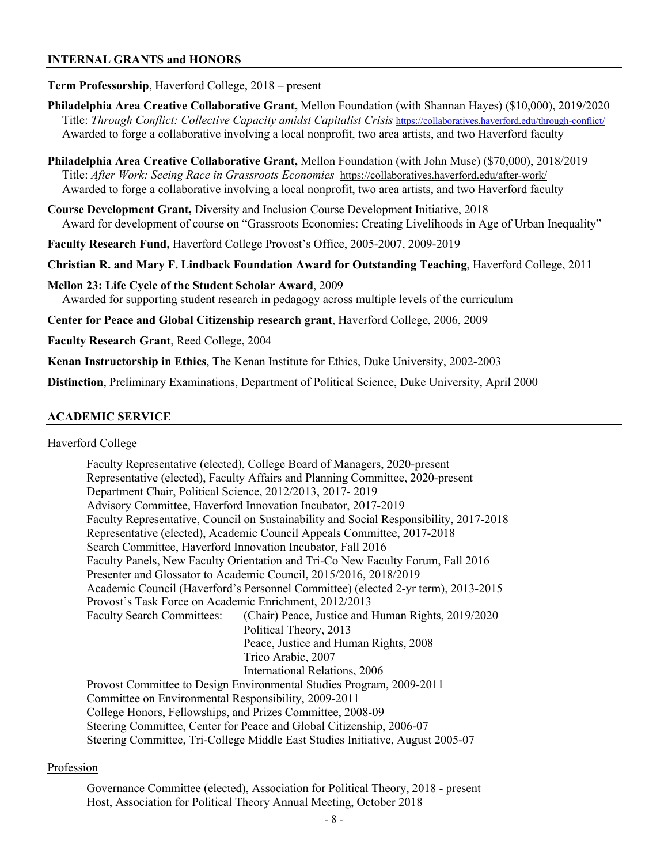# **INTERNAL GRANTS and HONORS**

#### **Term Professorship**, Haverford College, 2018 – present

**Philadelphia Area Creative Collaborative Grant,** Mellon Foundation (with Shannan Hayes) (\$10,000), 2019/2020 Title: *Through Conflict: Collective Capacity amidst Capitalist Crisis* https://collaboratives.haverford.edu/through-conflict/ Awarded to forge a collaborative involving a local nonprofit, two area artists, and two Haverford faculty

**Philadelphia Area Creative Collaborative Grant,** Mellon Foundation (with John Muse) (\$70,000), 2018/2019 Title: *After Work: Seeing Race in Grassroots Economies* https://collaboratives.haverford.edu/after-work/ Awarded to forge a collaborative involving a local nonprofit, two area artists, and two Haverford faculty

**Course Development Grant,** Diversity and Inclusion Course Development Initiative, 2018 Award for development of course on "Grassroots Economies: Creating Livelihoods in Age of Urban Inequality"

**Faculty Research Fund,** Haverford College Provost's Office, 2005-2007, 2009-2019

**Christian R. and Mary F. Lindback Foundation Award for Outstanding Teaching**, Haverford College, 2011

**Mellon 23: Life Cycle of the Student Scholar Award**, 2009 Awarded for supporting student research in pedagogy across multiple levels of the curriculum

**Center for Peace and Global Citizenship research grant**, Haverford College, 2006, 2009

**Faculty Research Grant**, Reed College, 2004

**Kenan Instructorship in Ethics**, The Kenan Institute for Ethics, Duke University, 2002-2003

**Distinction**, Preliminary Examinations, Department of Political Science, Duke University, April 2000

#### **ACADEMIC SERVICE**

#### Haverford College

| Faculty Representative (elected), College Board of Managers, 2020-present               |  |  |
|-----------------------------------------------------------------------------------------|--|--|
| Representative (elected), Faculty Affairs and Planning Committee, 2020-present          |  |  |
| Department Chair, Political Science, 2012/2013, 2017-2019                               |  |  |
| Advisory Committee, Haverford Innovation Incubator, 2017-2019                           |  |  |
| Faculty Representative, Council on Sustainability and Social Responsibility, 2017-2018  |  |  |
| Representative (elected), Academic Council Appeals Committee, 2017-2018                 |  |  |
| Search Committee, Haverford Innovation Incubator, Fall 2016                             |  |  |
| Faculty Panels, New Faculty Orientation and Tri-Co New Faculty Forum, Fall 2016         |  |  |
| Presenter and Glossator to Academic Council, 2015/2016, 2018/2019                       |  |  |
| Academic Council (Haverford's Personnel Committee) (elected 2-yr term), 2013-2015       |  |  |
| Provost's Task Force on Academic Enrichment, 2012/2013                                  |  |  |
| <b>Faculty Search Committees:</b><br>(Chair) Peace, Justice and Human Rights, 2019/2020 |  |  |
| Political Theory, 2013                                                                  |  |  |
| Peace, Justice and Human Rights, 2008                                                   |  |  |
| Trico Arabic, 2007                                                                      |  |  |
| International Relations, 2006                                                           |  |  |
| Provost Committee to Design Environmental Studies Program, 2009-2011                    |  |  |
| Committee on Environmental Responsibility, 2009-2011                                    |  |  |
| College Honors, Fellowships, and Prizes Committee, 2008-09                              |  |  |
| Steering Committee, Center for Peace and Global Citizenship, 2006-07                    |  |  |
| Steering Committee, Tri-College Middle East Studies Initiative, August 2005-07          |  |  |

## Profession

Governance Committee (elected), Association for Political Theory, 2018 - present Host, Association for Political Theory Annual Meeting, October 2018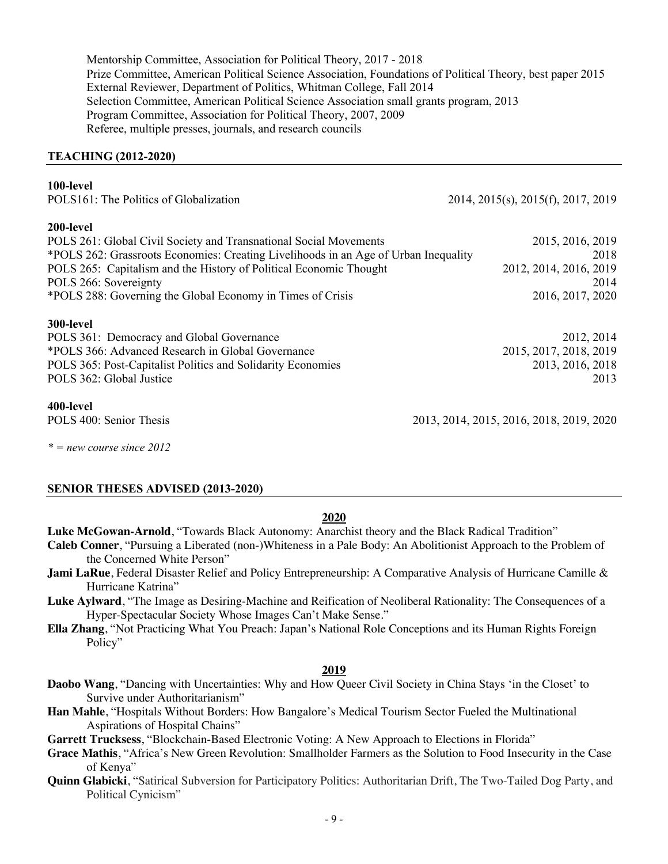Mentorship Committee, Association for Political Theory, 2017 - 2018 Prize Committee, American Political Science Association, Foundations of Political Theory, best paper 2015 External Reviewer, Department of Politics, Whitman College, Fall 2014 Selection Committee, American Political Science Association small grants program, 2013 Program Committee, Association for Political Theory, 2007, 2009 Referee, multiple presses, journals, and research councils

#### **TEACHING (2012-2020)**

## **100-level**

| POLS161: The Politics of Globalization                                              | 2014, 2015(s), 2015(f), 2017, 2019 |
|-------------------------------------------------------------------------------------|------------------------------------|
| 200-level                                                                           |                                    |
| POLS 261: Global Civil Society and Transnational Social Movements                   | 2015, 2016, 2019                   |
| *POLS 262: Grassroots Economies: Creating Livelihoods in an Age of Urban Inequality | 2018                               |
| POLS 265: Capitalism and the History of Political Economic Thought                  | 2012, 2014, 2016, 2019             |
| POLS 266: Sovereignty                                                               | 2014                               |
| *POLS 288: Governing the Global Economy in Times of Crisis                          | 2016, 2017, 2020                   |
| 300-level                                                                           |                                    |
| POLS 361: Democracy and Global Governance                                           | 2012, 2014                         |
| *POLS 366: Advanced Research in Global Governance                                   | 2015, 2017, 2018, 2019             |
| POLS 365: Post-Capitalist Politics and Solidarity Economies                         | 2013, 2016, 2018                   |
| POLS 362: Global Justice                                                            | 2013                               |
| 400-level                                                                           |                                    |

POLS 400: Senior Thesis 2013, 2014, 2015, 2016, 2018, 2019, 2020

*\* = new course since 2012*

# **SENIOR THESES ADVISED (2013-2020)**

# **2020**

**Luke McGowan-Arnold**, "Towards Black Autonomy: Anarchist theory and the Black Radical Tradition"

- **Caleb Conner**, "Pursuing a Liberated (non-)Whiteness in a Pale Body: An Abolitionist Approach to the Problem of the Concerned White Person"
- **Jami LaRue**, Federal Disaster Relief and Policy Entrepreneurship: A Comparative Analysis of Hurricane Camille & Hurricane Katrina"
- **Luke Aylward**, "The Image as Desiring-Machine and Reification of Neoliberal Rationality: The Consequences of a Hyper-Spectacular Society Whose Images Can't Make Sense."
- **Ella Zhang**, "Not Practicing What You Preach: Japan's National Role Conceptions and its Human Rights Foreign Policy"

#### **2019**

- **Daobo Wang**, "Dancing with Uncertainties: Why and How Queer Civil Society in China Stays 'in the Closet' to Survive under Authoritarianism"
- **Han Mahle**, "Hospitals Without Borders: How Bangalore's Medical Tourism Sector Fueled the Multinational Aspirations of Hospital Chains"
- **Garrett Trucksess**, "Blockchain-Based Electronic Voting: A New Approach to Elections in Florida"
- **Grace Mathis**, "Africa's New Green Revolution: Smallholder Farmers as the Solution to Food Insecurity in the Case of Kenya"
- **Quinn Glabicki**, "Satirical Subversion for Participatory Politics: Authoritarian Drift, The Two-Tailed Dog Party, and Political Cynicism"